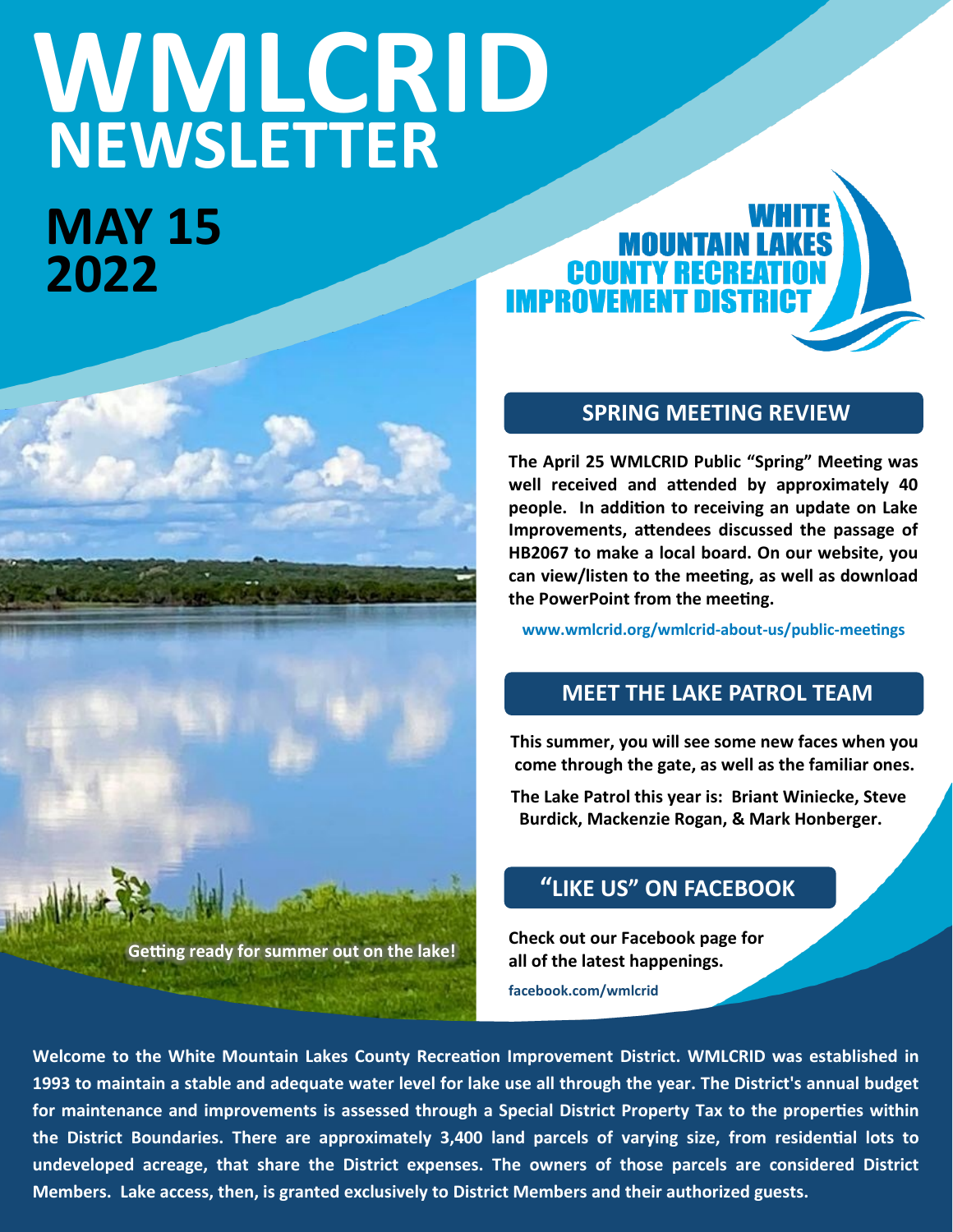# **WMLCRID NEWSLETTER**

**Getting ready for summer out on the lake!**

**MAY 15 2022**



# **SPRING MEETING REVIEW**

**The April 25 WMLCRID Public "Spring" Meeting was well received and attended by approximately 40 people. In addition to receiving an update on Lake Improvements, attendees discussed the passage of HB2067 to make a local board. On our website, you can view/listen to the meeting, as well as download the PowerPoint from the meeting.**

**www.wmlcrid.org/wmlcrid-about-us/public-meetings**

# **MEET THE LAKE PATROL TEAM**

**This summer, you will see some new faces when you come through the gate, as well as the familiar ones.**

**The Lake Patrol this year is: Briant Winiecke, Steve Burdick, Mackenzie Rogan, & Mark Honberger.** 

# **"LIKE US" ON FACEBOOK**

**Check out our Facebook page for all of the latest happenings. facebook.com/wmlcrid**

**Welcome to the White Mountain Lakes County Recreation Improvement District. WMLCRID was established in 1993 to maintain a stable and adequate water level for lake use all through the year. The District's annual budget for maintenance and improvements is assessed through a Special District Property Tax to the properties within the District Boundaries. There are approximately 3,400 land parcels of varying size, from residential lots to undeveloped acreage, that share the District expenses. The owners of those parcels are considered District Members. Lake access, then, is granted exclusively to District Members and their authorized guests.**